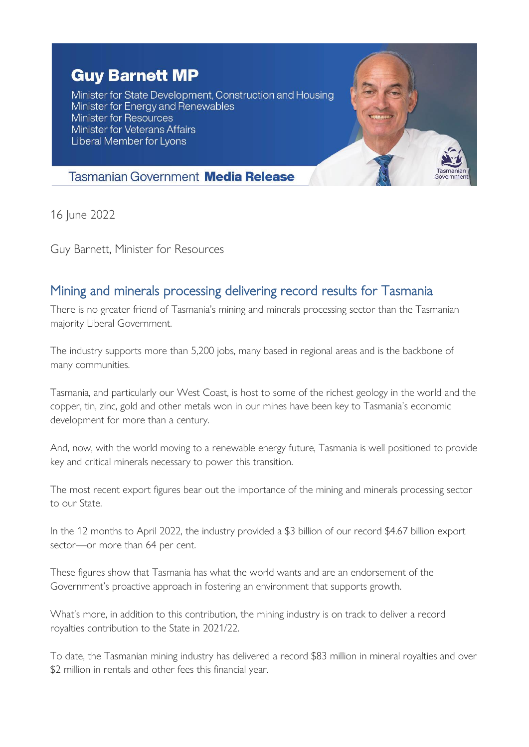## **Guy Barnett MP**

Minister for State Development, Construction and Housing Minister for Energy and Renewables Minister for Resources **Minister for Veterans Affairs** Liberal Member for Lyons



## **Tasmanian Government Media Release**

16 June 2022

Guy Barnett, Minister for Resources

## Mining and minerals processing delivering record results for Tasmania

There is no greater friend of Tasmania's mining and minerals processing sector than the Tasmanian majority Liberal Government.

The industry supports more than 5,200 jobs, many based in regional areas and is the backbone of many communities.

Tasmania, and particularly our West Coast, is host to some of the richest geology in the world and the copper, tin, zinc, gold and other metals won in our mines have been key to Tasmania's economic development for more than a century.

And, now, with the world moving to a renewable energy future, Tasmania is well positioned to provide key and critical minerals necessary to power this transition.

The most recent export figures bear out the importance of the mining and minerals processing sector to our State.

In the 12 months to April 2022, the industry provided a \$3 billion of our record \$4.67 billion export sector—or more than 64 per cent.

These figures show that Tasmania has what the world wants and are an endorsement of the Government's proactive approach in fostering an environment that supports growth.

What's more, in addition to this contribution, the mining industry is on track to deliver a record royalties contribution to the State in 2021/22.

To date, the Tasmanian mining industry has delivered a record \$83 million in mineral royalties and over \$2 million in rentals and other fees this financial year.